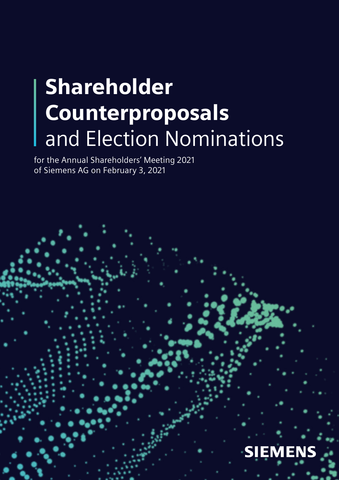# Shareholder Counterproposals and Election Nominations

for the Annual Shareholders' Meeting 2021 of Siemens AG on February 3, 2021

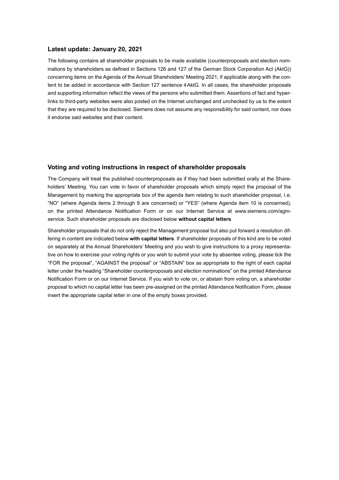#### **Latest update: January 20, 2021**

The following contains all shareholder proposals to be made available (counterproposals and election nominations by shareholders as defined in Sections 126 and 127 of the German Stock Corporation Act (AktG)) concerning items on the Agenda of the Annual Shareholders' Meeting 2021, if applicable along with the content to be added in accordance with Section 127 sentence 4 AktG. In all cases, the shareholder proposals and supporting information reflect the views of the persons who submitted them. Assertions of fact and hyperlinks to third-party websites were also posted on the Internet unchanged and unchecked by us to the extent that they are required to be disclosed. Siemens does not assume any responsibility for said content, nor does it endorse said websites and their content.

#### **Voting and voting instructions in respect of shareholder proposals**

The Company will treat the published counterproposals as if they had been submitted orally at the Shareholders' Meeting. You can vote in favor of shareholder proposals which simply reject the proposal of the Management by marking the appropriate box of the agenda item relating to such shareholder proposal, i. e. "NO" (where Agenda items 2 through 9 are concerned) or "YES" (where Agenda item 10 is concerned), on the printed Attendance Notification Form or on our Internet Service at www.siemens.com/agmservice. Such shareholder proposals are disclosed below **without capital letters**.

Shareholder proposals that do not only reject the Management proposal but also put forward a resolution differing in content are indicated below **with capital letters**. If shareholder proposals of this kind are to be voted on separately at the Annual Shareholders' Meeting and you wish to give instructions to a proxy representative on how to exercise your voting rights or you wish to submit your vote by absentee voting, please tick the "FOR the proposal", "AGAINST the proposal" or "ABSTAIN" box as appropriate to the right of each capital letter under the heading "Shareholder counterproposals and election nominations" on the printed Attendance Notification Form or on our Internet Service. If you wish to vote on, or abstain from voting on, a shareholder proposal to which no capital letter has been pre-assigned on the printed Attendance Notification Form, please insert the appropriate capital letter in one of the empty boxes provided.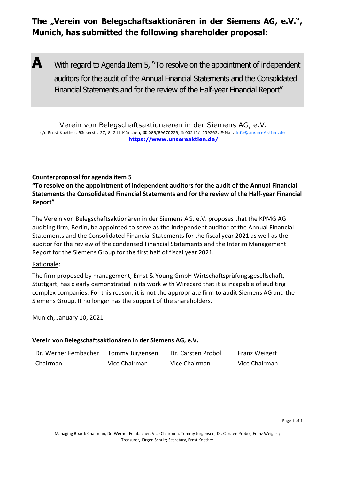# The "Verein von Belegschaftsaktionären in der Siemens AG, e.V.", **Munich, has submitted the following shareholder proposal:**

**A** With regard to Agenda Item 5, "To resolve on the appointment of independent auditors for the audit of the Annual Financial Statements and the Consolidated Financial Statements and for the review of the Half-year Financial Report"

Verein von Belegschaftsaktionaeren in der Siemens AG, e.V. c/o Ernst Koether, Bäckerstr. 37, 81241 München, <sup>2</sup> 089/89670229, 2 03212/1239263, E-Mail: info@unsereAktien.de **https://www.unsereaktien.de/**

### **Counterproposal for agenda item 5**

**"To resolve on the appointment of independent auditors for the audit of the Annual Financial Statements the Consolidated Financial Statements and for the review of the Half-year Financial Report"**

The Verein von Belegschaftsaktionären in der Siemens AG, e.V. proposes that the KPMG AG auditing firm, Berlin, be appointed to serve as the independent auditor of the Annual Financial Statements and the Consolidated Financial Statements for the fiscal year 2021 as well as the auditor for the review of the condensed Financial Statements and the Interim Management Report for the Siemens Group for the first half of fiscal year 2021.

### Rationale:

The firm proposed by management, Ernst & Young GmbH Wirtschaftsprüfungsgesellschaft, Stuttgart, has clearly demonstrated in its work with Wirecard that it is incapable of auditing complex companies. For this reason, it is not the appropriate firm to audit Siemens AG and the Siemens Group. It no longer has the support of the shareholders.

Munich, January 10, 2021

### **Verein von Belegschaftsaktionären in der Siemens AG, e.V.**

| Dr. Werner Fembacher | Tommy Jürgensen | Dr. Carsten Probol | Franz Weigert |
|----------------------|-----------------|--------------------|---------------|
| Chairman             | Vice Chairman   | Vice Chairman      | Vice Chairman |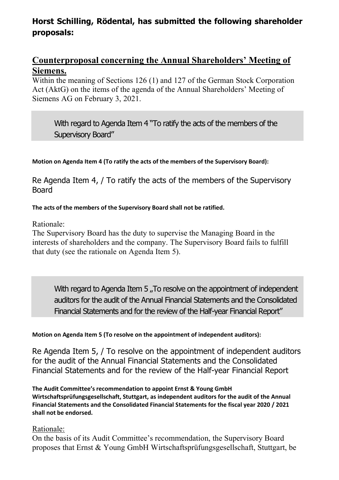# **Horst Schilling, Rödental, has submitted the following shareholder proposals:**

# **Counterproposal concerning the Annual Shareholders' Meeting of Siemens.**

Within the meaning of Sections 126 (1) and 127 of the German Stock Corporation Act (AktG) on the items of the agenda of the Annual Shareholders' Meeting of Siemens AG on February 3, 2021.

With regard to Agenda Item 4 "To ratify the acts of the members of the Supervisory Board"

### **Motion on Agenda Item 4 (To ratify the acts of the members of the Supervisory Board):**

Re Agenda Item 4, / To ratify the acts of the members of the Supervisory Board

### **The acts of the members of the Supervisory Board shall not be ratified.**

Rationale:

The Supervisory Board has the duty to supervise the Managing Board in the interests of shareholders and the company. The Supervisory Board fails to fulfill that duty (see the rationale on Agenda Item 5).

With regard to Agenda Item 5, To resolve on the appointment of independent auditors for the audit of the Annual Financial Statements and the Consolidated Financial Statements and for the review of the Half-year Financial Report"

### **Motion on Agenda Item 5 (To resolve on the appointment of independent auditors):**

Re Agenda Item 5, / To resolve on the appointment of independent auditors for the audit of the Annual Financial Statements and the Consolidated Financial Statements and for the review of the Half-year Financial Report

**The Audit Committee's recommendation to appoint Ernst & Young GmbH Wirtschaftsprüfungsgesellschaft, Stuttgart, as independent auditors for the audit of the Annual Financial Statements and the Consolidated Financial Statements for the fiscal year 2020 / 2021 shall not be endorsed.**

### Rationale:

On the basis of its Audit Committee's recommendation, the Supervisory Board proposes that Ernst & Young GmbH Wirtschaftsprüfungsgesellschaft, Stuttgart, be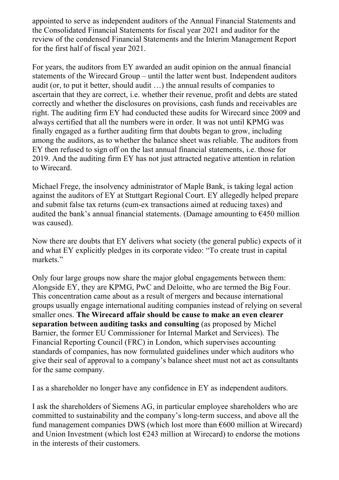appointed to serve as independent auditors of the Annual Financial Statements and the Consolidated Financial Statements for fiscal year 2021 and auditor for the review of the condensed Financial Statements and the Interim Management Report for the first half of fiscal year 2021.

For years, the auditors from EY awarded an audit opinion on the annual financial statements of the Wirecard Group – until the latter went bust. Independent auditors audit (or, to put it better, should audit …) the annual results of companies to ascertain that they are correct, i.e. whether their revenue, profit and debts are stated correctly and whether the disclosures on provisions, cash funds and receivables are right. The auditing firm EY had conducted these audits for Wirecard since 2009 and always certified that all the numbers were in order. It was not until KPMG was finally engaged as a further auditing firm that doubts began to grow, including among the auditors, as to whether the balance sheet was reliable. The auditors from EY then refused to sign off on the last annual financial statements, i.e. those for 2019. And the auditing firm EY has not just attracted negative attention in relation to Wirecard.

Michael Frege, the insolvency administrator of Maple Bank, is taking legal action against the auditors of EY at Stuttgart Regional Court. EY allegedly helped prepare and submit false tax returns (cum-ex transactions aimed at reducing taxes) and audited the bank's annual financial statements. (Damage amounting to  $\epsilon$ 450 million was caused).

Now there are doubts that EY delivers what society (the general public) expects of it and what EY explicitly pledges in its corporate video: "To create trust in capital markets."

Only four large groups now share the major global engagements between them: Alongside EY, they are KPMG, PwC and Deloitte, who are termed the Big Four. This concentration came about as a result of mergers and because international groups usually engage international auditing companies instead of relying on several smaller ones. **The Wirecard affair should be cause to make an even clearer separation between auditing tasks and consulting** (as proposed by Michel Barnier, the former EU Commissioner for Internal Market and Services). The Financial Reporting Council (FRC) in London, which supervises accounting standards of companies, has now formulated guidelines under which auditors who give their seal of approval to a company's balance sheet must not act as consultants for the same company.

I as a shareholder no longer have any confidence in EY as independent auditors.

I ask the shareholders of Siemens AG, in particular employee shareholders who are committed to sustainability and the company's long-term success, and above all the fund management companies DWS (which lost more than  $\epsilon$ 600 million at Wirecard) and Union Investment (which lost  $E$ 243 million at Wirecard) to endorse the motions in the interests of their customers.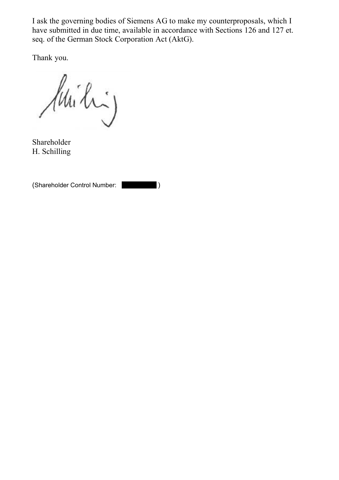I ask the governing bodies of Siemens AG to make my counterproposals, which I have submitted in due time, available in accordance with Sections 126 and 127 et. seq. of the German Stock Corporation Act (AktG).

Thank you.

Milij

Shareholder H. Schilling

(Shareholder Control Number: )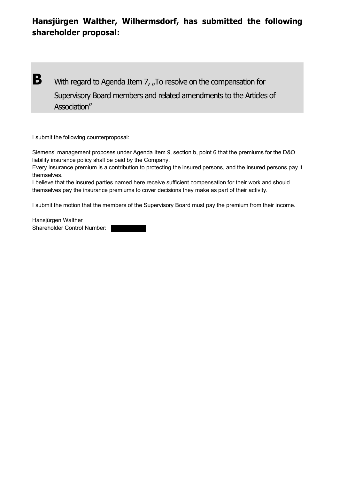# **Hansjürgen Walther, Wilhermsdorf, has submitted the following shareholder proposal:**

**B** With regard to Agenda Item 7, "To resolve on the compensation for Supervisory Board members and related amendments to the Articles of Association"

I submit the following counterproposal:

Siemens' management proposes under Agenda Item 9, section b, point 6 that the premiums for the D&O liability insurance policy shall be paid by the Company.

Every insurance premium is a contribution to protecting the insured persons, and the insured persons pay it themselves.

I believe that the insured parties named here receive sufficient compensation for their work and should themselves pay the insurance premiums to cover decisions they make as part of their activity.

I submit the motion that the members of the Supervisory Board must pay the premium from their income.

Hansjürgen Walther Shareholder Control Number: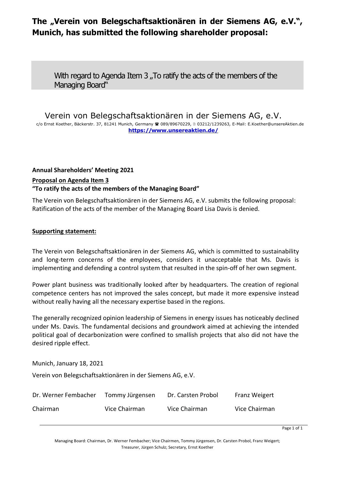### **The "Verein von Belegschaftsaktionären in der Siemens AG, e.V.", Munich, has submitted the following shareholder proposal:**

With regard to Agenda Item 3, To ratify the acts of the members of the Managing Board"

Verein von Belegschaftsaktionären in der Siemens AG, e.V. c/o Ernst Koether, Bäckerstr. 37, 81241 Munich, Germany 雷 089/89670229, 图 03212/1239263, E-Mail: E.Koether@unsereAktien.de **https://www.unsereaktien.de/**

### **Annual Shareholders' Meeting 2021 Proposal on Agenda Item 3 "To ratify the acts of the members of the Managing Board"**

The Verein von Belegschaftsaktionären in der Siemens AG, e.V. submits the following proposal: Ratification of the acts of the member of the Managing Board Lisa Davis is denied.

### **Supporting statement:**

The Verein von Belegschaftsaktionären in der Siemens AG, which is committed to sustainability and long-term concerns of the employees, considers it unacceptable that Ms. Davis is implementing and defending a control system that resulted in the spin-off of her own segment.

Power plant business was traditionally looked after by headquarters. The creation of regional competence centers has not improved the sales concept, but made it more expensive instead without really having all the necessary expertise based in the regions.

The generally recognized opinion leadership of Siemens in energy issues has noticeably declined under Ms. Davis. The fundamental decisions and groundwork aimed at achieving the intended political goal of decarbonization were confined to smallish projects that also did not have the desired ripple effect.

Munich, January 18, 2021

Verein von Belegschaftsaktionären in der Siemens AG, e.V.

| Dr. Werner Fembacher | Tommy Jürgensen | Dr. Carsten Probol | <b>Franz Weigert</b> |
|----------------------|-----------------|--------------------|----------------------|
| Chairman             | Vice Chairman   | Vice Chairman      | Vice Chairman        |

Page 1 of 1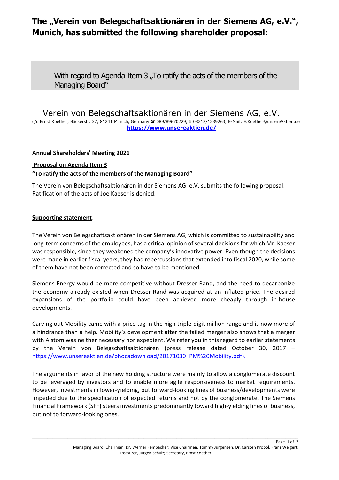# The "Verein von Belegschaftsaktionären in der Siemens AG, e.V.", **Munich, has submitted the following shareholder proposal:**

With regard to Agenda Item 3, To ratify the acts of the members of the Managing Board"

Verein von Belegschaftsaktionären in der Siemens AG, e.V. c/o Ernst Koether, Bäckerstr. 37, 81241 Munich, Germany  $\mathbb{R}$  089/89670229, 203212/1239263, E-Mail: E.Koether@unsereAktien.de **https://www.unsereaktien.de/**

#### **Annual Shareholders' Meeting 2021**

#### **Proposal on Agenda Item 3**

#### **"To ratify the acts of the members of the Managing Board"**

The Verein von Belegschaftsaktionären in der Siemens AG, e.V. submits the following proposal: Ratification of the acts of Joe Kaeser is denied.

#### **Supporting statement**:

The Verein von Belegschaftsaktionären in der Siemens AG, which is committed to sustainability and long-term concerns of the employees, has a critical opinion of several decisions for which Mr. Kaeser was responsible, since they weakened the company's innovative power. Even though the decisions were made in earlier fiscal years, they had repercussions that extended into fiscal 2020, while some of them have not been corrected and so have to be mentioned.

Siemens Energy would be more competitive without Dresser-Rand, and the need to decarbonize the economy already existed when Dresser-Rand was acquired at an inflated price. The desired expansions of the portfolio could have been achieved more cheaply through in-house developments.

Carving out Mobility came with a price tag in the high triple-digit million range and is now more of a hindrance than a help. Mobility's development after the failed merger also shows that a merger with Alstom was neither necessary nor expedient. We refer you in this regard to earlier statements by the Verein von Belegschaftsaktionären (press release dated October 30, 2017 – https://www.unsereaktien.de/phocadownload/20171030\_PM%20Mobility.pdf).

The arguments in favor of the new holding structure were mainly to allow a conglomerate discount to be leveraged by investors and to enable more agile responsiveness to market requirements. However, investments in lower-yielding, but forward-looking lines of business/developments were impeded due to the specification of expected returns and not by the conglomerate. The Siemens Financial Framework (SFF) steers investments predominantly toward high-yielding lines of business, but not to forward-looking ones.

\_\_\_\_\_\_\_\_\_\_\_\_\_\_\_\_\_\_\_\_\_\_\_\_\_\_\_\_\_\_\_\_\_\_\_\_\_\_\_\_\_\_\_\_\_\_\_\_\_\_\_\_\_\_\_\_\_\_\_\_\_\_\_\_\_\_\_\_\_\_\_\_\_\_\_\_\_\_\_\_\_\_\_\_\_\_\_\_\_\_\_\_\_\_\_\_\_\_\_\_\_\_\_\_\_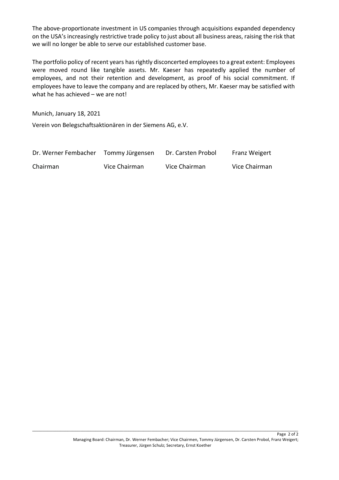The above-proportionate investment in US companies through acquisitions expanded dependency on the USA's increasingly restrictive trade policy to just about all business areas, raising the risk that we will no longer be able to serve our established customer base.

The portfolio policy of recent years has rightly disconcerted employees to a great extent: Employees were moved round like tangible assets. Mr. Kaeser has repeatedly applied the number of employees, and not their retention and development, as proof of his social commitment. If employees have to leave the company and are replaced by others, Mr. Kaeser may be satisfied with what he has achieved – we are not!

Munich, January 18, 2021

Verein von Belegschaftsaktionären in der Siemens AG, e.V.

| Dr. Werner Fembacher | Tommy Jürgensen | Dr. Carsten Probol | Franz Weigert |
|----------------------|-----------------|--------------------|---------------|
| Chairman             | Vice Chairman   | Vice Chairman      | Vice Chairman |

\_\_\_\_\_\_\_\_\_\_\_\_\_\_\_\_\_\_\_\_\_\_\_\_\_\_\_\_\_\_\_\_\_\_\_\_\_\_\_\_\_\_\_\_\_\_\_\_\_\_\_\_\_\_\_\_\_\_\_\_\_\_\_\_\_\_\_\_\_\_\_\_\_\_\_\_\_\_\_\_\_\_\_\_\_\_\_\_\_\_\_\_\_\_\_\_\_\_\_\_\_\_\_\_\_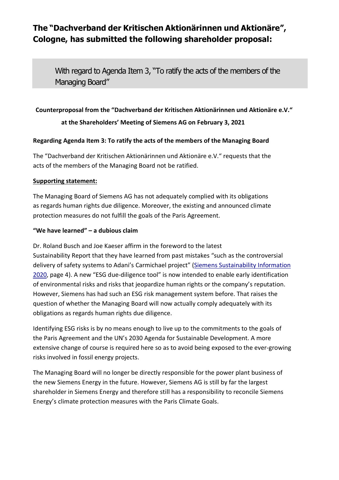### **The "Dachverband der Kritischen Aktionärinnen und Aktionäre", Cologne, has submitted the following shareholder proposal:**

With regard to Agenda Item 3, "To ratify the acts of the members of the Managing Board"

### **Counterproposal from the "Dachverband der Kritischen Aktionärinnen und Aktionäre e.V." at the Shareholders' Meeting of Siemens AG on February 3, 2021**

### **Regarding Agenda Item 3: To ratify the acts of the members of the Managing Board**

The "Dachverband der Kritischen Aktionärinnen und Aktionäre e.V." requests that the acts of the members of the Managing Board not be ratified.

### **Supporting statement:**

The Managing Board of Siemens AG has not adequately complied with its obligations as regards human rights due diligence. Moreover, the existing and announced climate protection measures do not fulfill the goals of the Paris Agreement.

### **"We have learned" – a dubious claim**

Dr. Roland Busch and Joe Kaeser affirm in the foreword to the latest Sustainability Report that they have learned from past mistakes "such as the controversial delivery of safety systems to Adani's Carmichael project" (Siemens Sustainability Information 2020, page 4). A new "ESG due-diligence tool" is now intended to enable early identification of environmental risks and risks that jeopardize human rights or the company's reputation. However, Siemens has had such an ESG risk management system before. That raises the question of whether the Managing Board will now actually comply adequately with its obligations as regards human rights due diligence.

Identifying ESG risks is by no means enough to live up to the commitments to the goals of the Paris Agreement and the UN's 2030 Agenda for Sustainable Development. A more extensive change of course is required here so as to avoid being exposed to the ever-growing risks involved in fossil energy projects.

The Managing Board will no longer be directly responsible for the power plant business of the new Siemens Energy in the future. However, Siemens AG is still by far the largest shareholder in Siemens Energy and therefore still has a responsibility to reconcile Siemens Energy's climate protection measures with the Paris Climate Goals.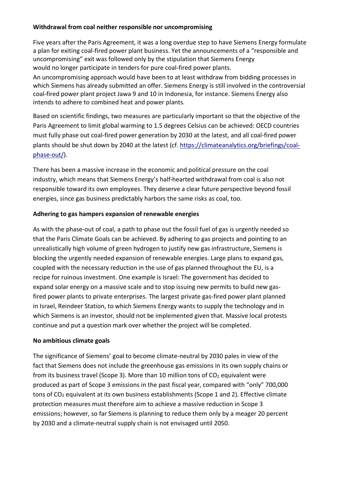### **Withdrawal from coal neither responsible nor uncompromising**

Five years after the Paris Agreement, it was a long overdue step to have Siemens Energy formulate a plan for exiting coal-fired power plant business. Yet the announcements of a "responsible and uncompromising" exit was followed only by the stipulation that Siemens Energy would no longer participate in tenders for pure coal-fired power plants.

An uncompromising approach would have been to at least withdraw from bidding processes in which Siemens has already submitted an offer. Siemens Energy is still involved in the controversial coal-fired power plant project Jawa 9 and 10 in Indonesia, for instance. Siemens Energy also intends to adhere to combined heat and power plants.

Based on scientific findings, two measures are particularly important so that the objective of the Paris Agreement to limit global warming to 1.5 degrees Celsius can be achieved: OECD countries must fully phase out coal-fired power generation by 2030 at the latest, and all coal-fired power plants should be shut down by 2040 at the latest (cf. https://climateanalytics.org/briefings/coalphase-out/).

There has been a massive increase in the economic and political pressure on the coal industry, which means that Siemens Energy's half-hearted withdrawal from coal is also not responsible toward its own employees. They deserve a clear future perspective beyond fossil energies, since gas business predictably harbors the same risks as coal, too.

### **Adhering to gas hampers expansion of renewable energies**

As with the phase-out of coal, a path to phase out the fossil fuel of gas is urgently needed so that the Paris Climate Goals can be achieved. By adhering to gas projects and pointing to an unrealistically high volume of green hydrogen to justify new gas infrastructure, Siemens is blocking the urgently needed expansion of renewable energies. Large plans to expand gas, coupled with the necessary reduction in the use of gas planned throughout the EU, is a recipe for ruinous investment. One example is Israel: The government has decided to expand solar energy on a massive scale and to stop issuing new permits to build new gasfired power plants to private enterprises. The largest private gas-fired power plant planned in Israel, Reindeer Station, to which Siemens Energy wants to supply the technology and in which Siemens is an investor, should not be implemented given that. Massive local protests continue and put a question mark over whether the project will be completed.

### **No ambitious climate goals**

The significance of Siemens' goal to become climate-neutral by 2030 pales in view of the fact that Siemens does not include the greenhouse gas emissions in its own supply chains or from its business travel (Scope 3). More than 10 million tons of  $CO<sub>2</sub>$  equivalent were produced as part of Scope 3 emissions in the past fiscal year, compared with "only" 700,000 tons of CO<sub>2</sub> equivalent at its own business establishments (Scope 1 and 2). Effective climate protection measures must therefore aim to achieve a massive reduction in Scope 3 emissions; however, so far Siemens is planning to reduce them only by a meager 20 percent by 2030 and a climate-neutral supply chain is not envisaged until 2050.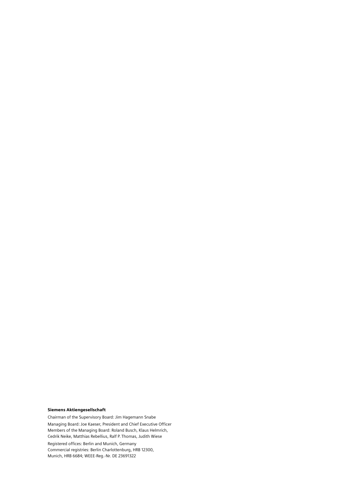#### Siemens Aktiengesellschaft

Chairman of the Supervisory Board: Jim Hagemann Snabe Managing Board: Joe Kaeser, President and Chief Executive Officer Members of the Managing Board: Roland Busch, Klaus Helmrich, Cedrik Neike, Matthias Rebellius, Ralf P. Thomas, Judith Wiese Registered offices: Berlin and Munich, Germany Commercial registries: Berlin Charlottenburg, HRB 12300, Munich, HRB 6684; WEEE-Reg.-Nr. DE 23691322